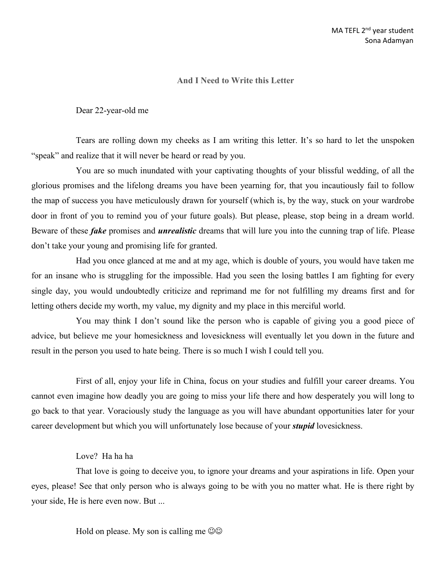## **And I Need toWrite this Letter**

Dear 22-year-old me

Tears are rolling down my cheeks as I am writing this letter. It's so hard to let the unspoken "speak" and realize that it will never be heard or read by you.

You are so much inundated with your captivating thoughts of your blissful wedding, of all the glorious promises and the lifelong dreams you have been yearning for, that you incautiously fail to follow the map of success you have meticulously drawn for yourself (which is, by the way, stuck on your wardrobe door in front of you to remind you of your future goals). But please, please, stop being in a dream world. Beware of these *fake* promises and *unrealistic* dreams that will lure you into the cunning trap of life. Please don't take your young and promising life for granted.

Had you once glanced at me and at my age, which is double of yours, you would have taken me for an insane who is struggling for the impossible. Had you seen the losing battles I am fighting for every single day, you would undoubtedly criticize and reprimand me for not fulfilling my dreams first and for letting others decide my worth, my value, my dignity and my place in this merciful world.

You may think I don't sound like the person who is capable of giving you a good piece of advice, but believe me your homesickness and lovesickness will eventually let you down in the future and result in the person you used to hate being. There is so much I wish I could tell you.

First of all, enjoy your life in China, focus on your studies and fulfill your career dreams. You cannot even imagine how deadly you are going to missyour life there and how desperately you will long to go back to that year. Voraciously study the language as you will have abundant opportunities later for your career development but which you will unfortunately lose because of your *stupid* lovesickness.

## Love? Ha ha ha

That love is going to deceive you, to ignore your dreams and your aspirations in life. Open your eyes, please! See that only person who is always going to be with you no matter what. He is there right by your side, He is here even now. But ...

Hold on please. My son is calling me  $\circledcirc\circ$